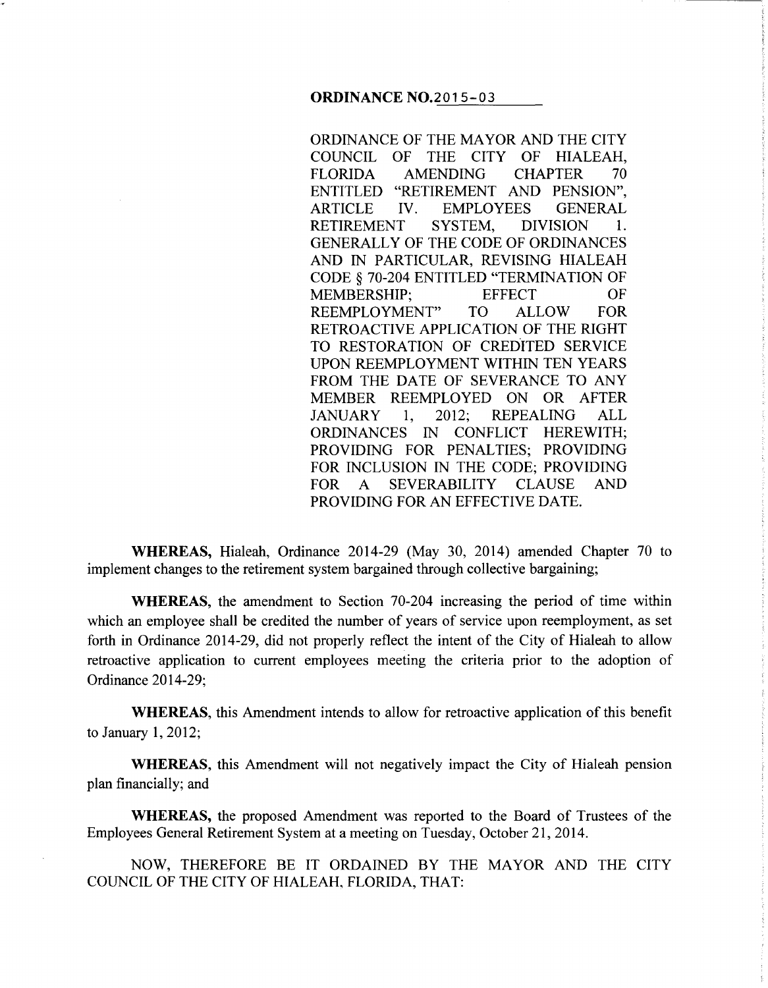ORDINANCE OF THE MAYOR AND THE CITY COUNCIL OF THE CITY OF HIALEAH, FLORIDA AMENDING CHAPTER 70 ENTITLED "RETIREMENT AND PENSION", ARTICLE IV. EMPLOYEES GENERAL<br>RETIREMENT SYSTEM, DIVISION 1. RETIREMENT SYSTEM, DIVISION 1. GENERALLY OF THE CODE OF ORDINANCES AND IN PARTICULAR, REVISING HIALEAH CODE § 70-204 ENTITLED "TERMINATION OF MEMBERSHIP; EFFECT OF REEMPLOYMENT" TO ALLOW FOR RETROACTIVE APPLICATION OF THE RIGHT TO RESTORATION OF CREDITED SERVICE UPON REEMPLOYMENT WITHIN TEN YEARS FROM THE DATE OF SEVERANCE TO ANY MEMBER REEMPLOYED ON OR AFTER JANUARY 1, 2012; REPEALING ALL ORDINANCES IN CONFLICT HEREWITH; PROVIDING FOR PENALTIES; PROVIDING FOR INCLUSION IN THE CODE; PROVIDING FOR A SEVERABILITY CLAUSE AND PROVIDING FOR AN EFFECTIVE DATE.

**WHEREAS,** Hialeah, Ordinance 2014-29 (May 30, 2014) amended Chapter 70 to implement changes to the retirement system bargained through collective bargaining;

**WHEREAS,** the amendment to Section 70-204 increasing the period of time within which an employee shall be credited the number of years of service upon reemployment, as set forth in Ordinance 2014-29, did not properly reflect the intent of the City of Hialeah to allow retroactive application to current employees meeting the criteria prior to the adoption of Ordinance 2014-29;

**WHEREAS,** this Amendment intends to allow for retroactive application of this benefit to January 1, 2012;

**WHEREAS,** this Amendment will not negatively impact the City of Hialeah pension plan financially; and

**WHEREAS,** the proposed Amendment was reported to the Board of Trustees of the Employees General Retirement System at a meeting on Tuesday, October 21, 2014.

NOW, THEREFORE BE IT ORDAINED BY THE MAYOR AND THE CITY COUNCIL OF THE CITY OF HIALEAH, FLORIDA, THAT: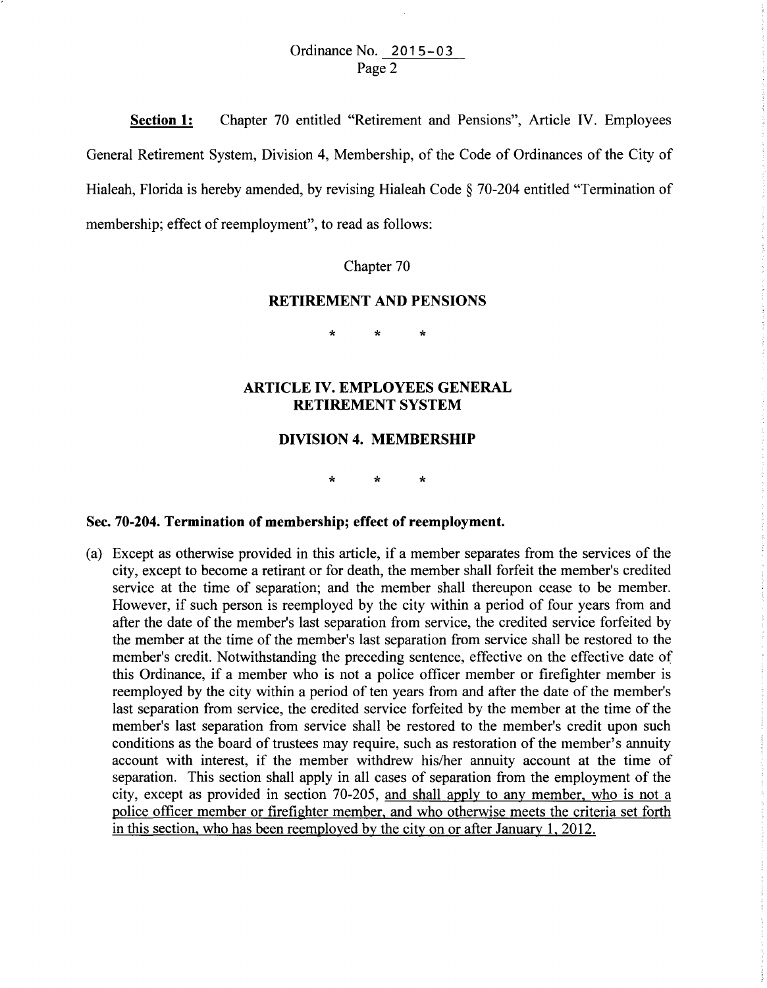# Ordinance No. 2015-03 Page 2

**Section 1:**  Chapter 70 entitled "Retirement and Pensions", Article IV. Employees General Retirement System, Division **4,** Membership, of the Code of Ordinances of the City of Hialeah, Florida is hereby amended, by revising Hialeah Code § 70-204 entitled "Termination of membership; effect of reemployment", to read as follows:

Chapter 70

# **RETIREMENT AND PENSIONS**

\* \* \*

# **ARTICLE IV. EMPLOYEES GENERAL RETIREMENT SYSTEM**

# **DIVISION 4. MEMBERSHIP**

\* \* \*

# **Sec. 70-204. Termination of membership; effect of reemployment.**

(a) Except as otherwise provided in this article, if a member separates from the services of the city, except to become a retirant or for death, the member shall forfeit the member's credited service at the time of separation; and the member shall thereupon cease to be member. However, if such person is reemployed by the city within a period of four years from and after the date of the member's last separation from service, the credited service forfeited by the member at the time of the member's last separation from service shall be restored to the member's credit. Notwithstanding the preceding sentence, effective on the effective date of this Ordinance, if a member who is not a police officer member or firefighter member is reemployed by the city within a period of ten years from and after the date of the member's last separation from service, the credited service forfeited by the member at the time of the member's last separation from service shall be restored to the member's credit upon such conditions as the board of trustees may require, such as restoration of the member's annuity account with interest, if the member withdrew his/her annuity account at the time of separation. This section shall apply in all cases of separation from the employment of the city, except as provided in section 70-205, and shall apply to any member, who is not a police officer member or firefighter member, and who otherwise meets the criteria set forth in this section, who has been reemployed by the city on or after January 1, 2012.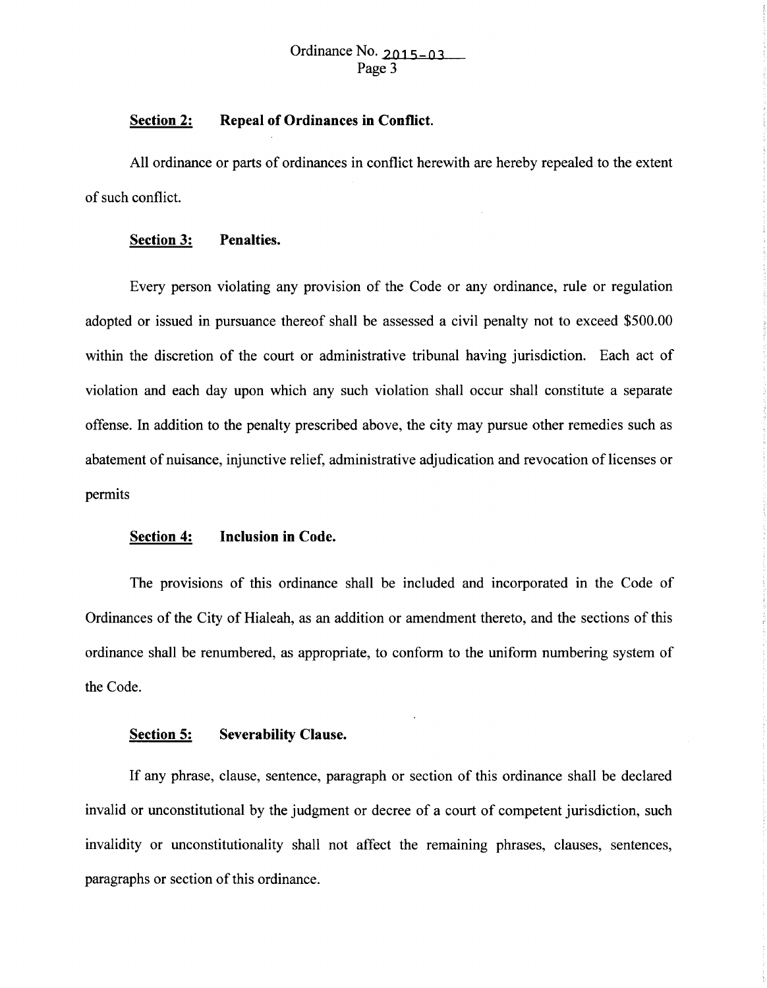#### **Section 2: Repeal of Ordinances in Conflict.**

All ordinance or parts of ordinances in conflict herewith are hereby repealed to the extent of such conflict.

# **Section 3: Penalties.**

Every person violating any provision of the Code or any ordinance, rule or regulation adopted or issued in pursuance thereof shall be assessed a civil penalty not to exceed \$500.00 within the discretion of the court or administrative tribunal having jurisdiction. Each act of violation and each day upon which any such violation shall occur shall constitute a separate offense. In addition to the penalty prescribed above, the city may pursue other remedies such as abatement of nuisance, injunctive relief, administrative adjudication and revocation of licenses or permits

# **Section 4: Inclusion in Code.**

The provisions of this ordinance shall be included and incorporated in the Code of Ordinances of the City of Hialeah, as an addition or amendment thereto, and the sections of this ordinance shall be renumbered, as appropriate, to conform to the uniform numbering system of the Code.

# **Section 5: Severability Clause.**

If any phrase, clause, sentence, paragraph or section of this ordinance shall be declared invalid or unconstitutional by the judgment or decree of a court of competent jurisdiction, such invalidity or unconstitutionality shall not affect the remaining phrases, clauses, sentences, paragraphs or section of this ordinance.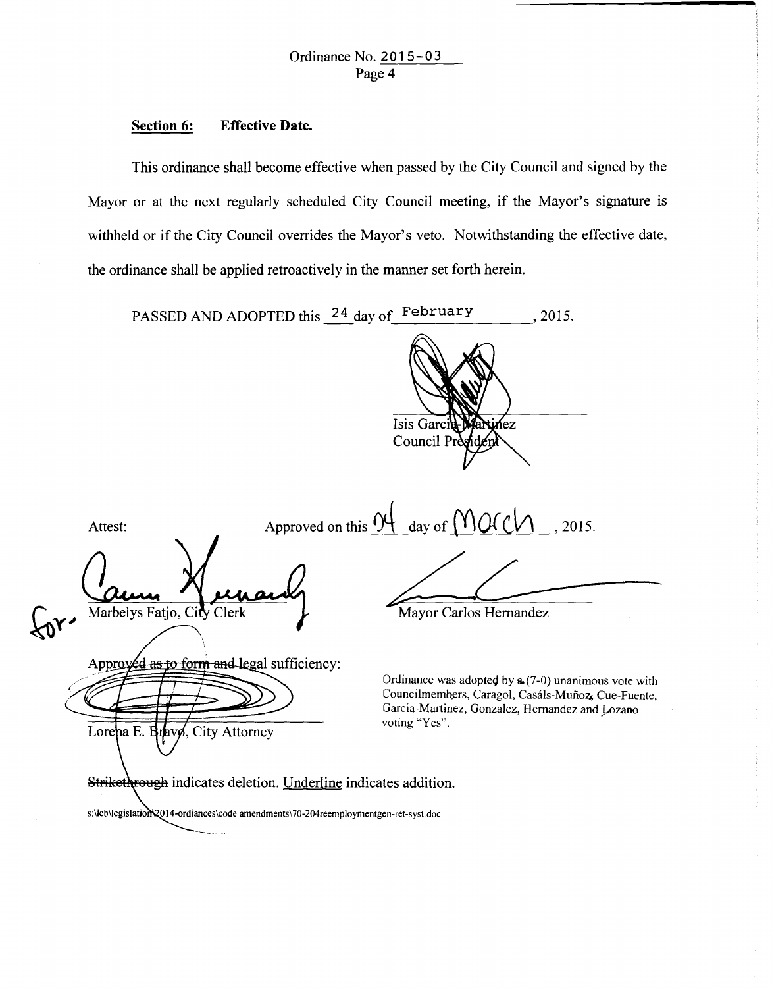#### **Section 6: Effective Date.**

This ordinance shall become effective when passed by the City Council and signed by the Mayor or at the next regularly scheduled City Council meeting, if the Mayor's signature is withheld or if the City Council overrides the Mayor's veto. Notwithstanding the effective date, the ordinance shall be applied retroactively in the manner set forth herein.

PASSED AND ADOPTED this  $\frac{24}{4}$  day of February , 2015. Isis Garci ſez Council Pr Approved on this  $\theta$ <sup>4</sup> day of  $\theta$  (V)  $\theta$  (C)  $\theta$  . 2015. Attest: Marbelys Fatjo, City Clerk Mayor Carlos Hernandez Approved as to form and legal sufficiency: Ordinance was adopted by  $a(7-0)$  unanimous vote with Councilmembers, Caragol, Casáls-Muñoz, Cue-Fuente, Garcia-Martinez, Gonzalez, Hernandez and Lozano voting "Yes". Lorena E. Brave, City Attorney Strikethrough indicates deletion. Underline indicates addition. s:\leb\legislation\2014-ordiances\code amendments\70-204reemploymentgen-ret-syst.doc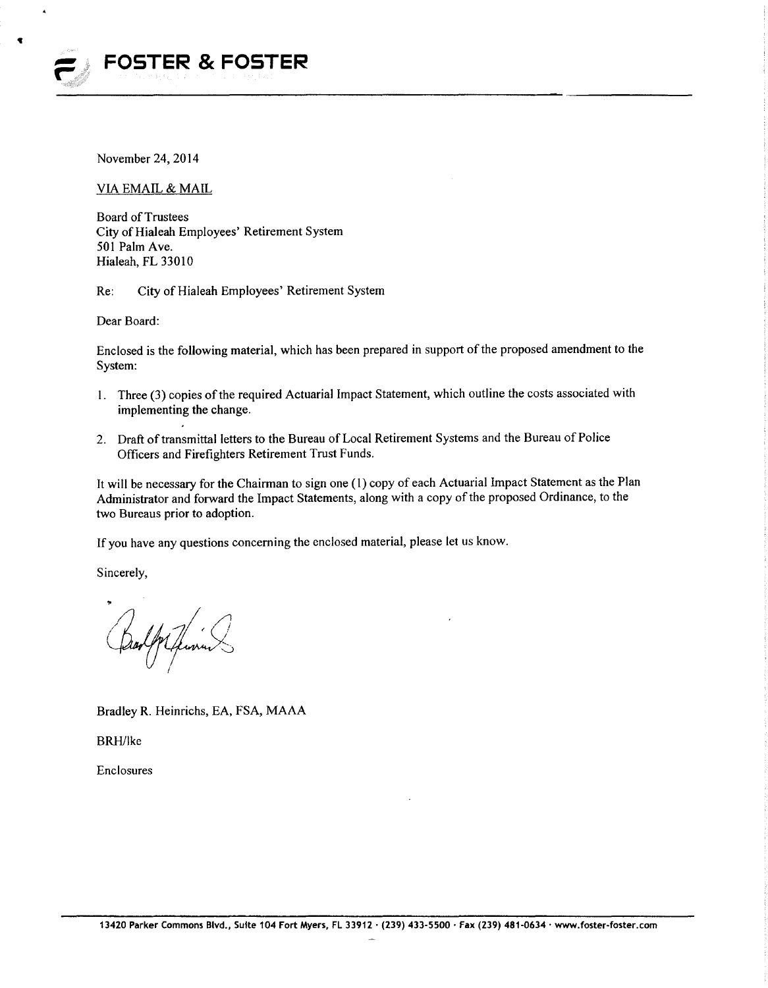

November 24,2014

VIA EMAIL & MAIL

Board of Trustees City of Hialeah Employees' Retirement System 501 Palm Ave. Hialeah, FL 33010

Re: City of Hialeah Employees' Retirement System

Dear Board:

Enclosed is the following material, which has been prepared in support of the proposed amendment to the System:

- 1. Three (3) copies of the required Actuarial Impact Statement, which outline the costs associated with implementing the change.
- 2. Draft of transmittal letters to the Bureau of Local Retirement Systems and the Bureau of Police Officers and Firefighters Retirement Trust Funds.

It will be necessary for the Chairman to sign one (1) copy of each Actuarial Impact Statement as the Plan Administrator and forward the Impact Statements, along with a copy of the proposed Ordinance, to the two Bureaus prior to adoption.

If you have any questions concerning the enclosed material, please let us know.

Sincerely,

.,.

Bradley R. Heinrichs, EA, FSA, MAAA

BRH/Ike

Enclosures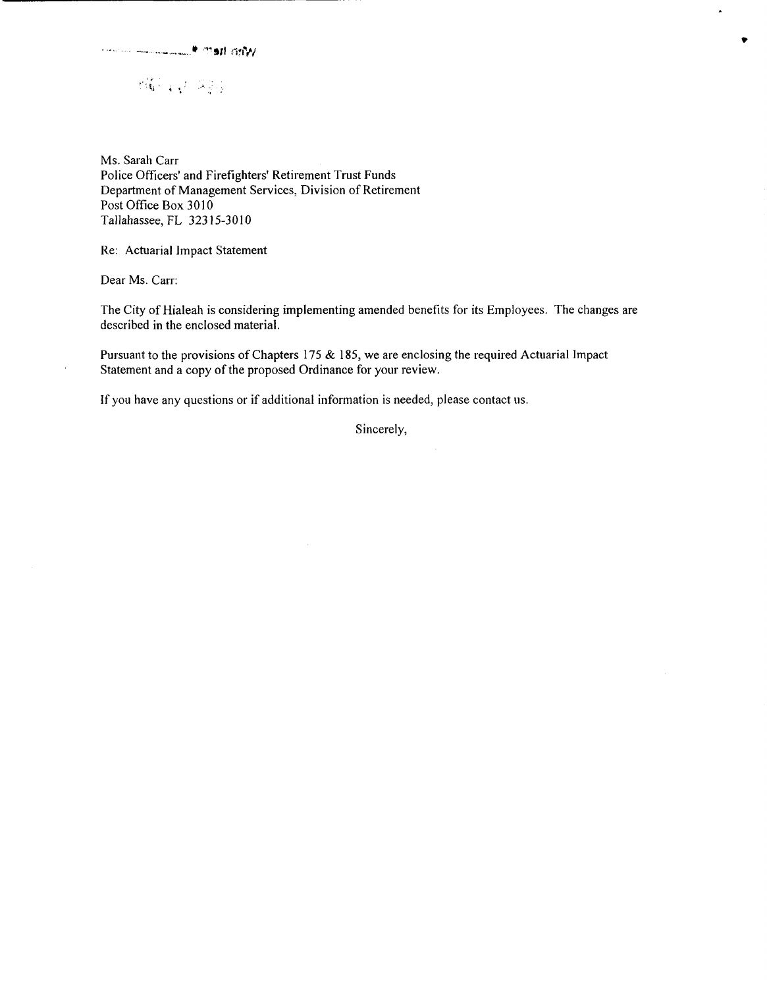$\partial \mathcal{U}_{\pm} \neq \mathcal{Z}_{\pm}$ 

Ms. Sarah Carr Police Officers' and Firefighters' Retirement Trust Funds Department of Management Services, Division of Retirement Post Office Box 3010 Tallahassee, FL 32315-3010

Re: Actuarial Impact Statement

Dear Ms. Carr:

The City of Hialeah is considering implementing amended benefits for its Employees. The changes are described in the enclosed material.

 $\blacktriangle$ 

Pursuant to the provisions of Chapters 175 & 185, we are enclosing the required Actuarial Impact Statement and a copy of the proposed Ordinance for your review.

If you have any questions or if additional information is needed, please contact us.

Sincerely,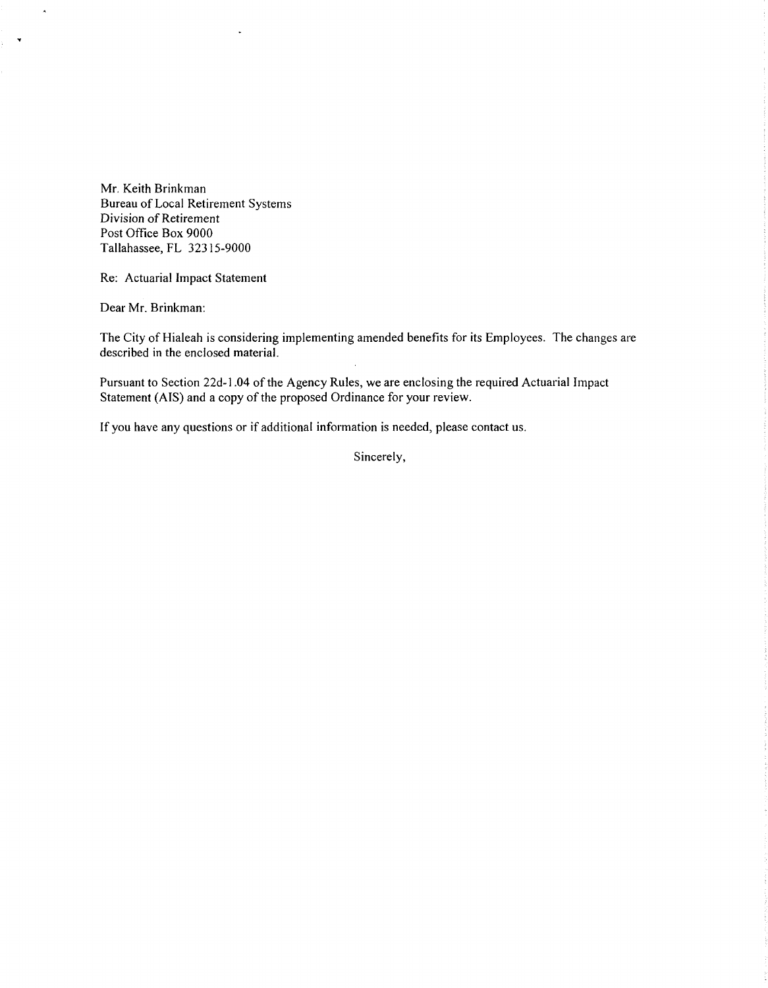Mr. Keith Brinkman Bureau of Local Retirement Systems Division of Retirement Post Office Box 9000 Tallahassee, FL 32315-9000

Re: Actuarial Impact Statement

Dear Mr. Brinkman:

 $\bar{\mathbf{A}}$ 

 $\tilde{\mathbf{v}}$ 

The City of Hialeah is considering implementing amended benefits for its Employees. The changes are described in the enclosed material.

Pursuant to Section 22d-1 .04 of the Agency Rules, we are enclosing the required Actuarial Impact Statement (AIS) and a copy of the proposed Ordinance for your review.

If you have any questions or if additional information is needed, please contact us.

Sincerely,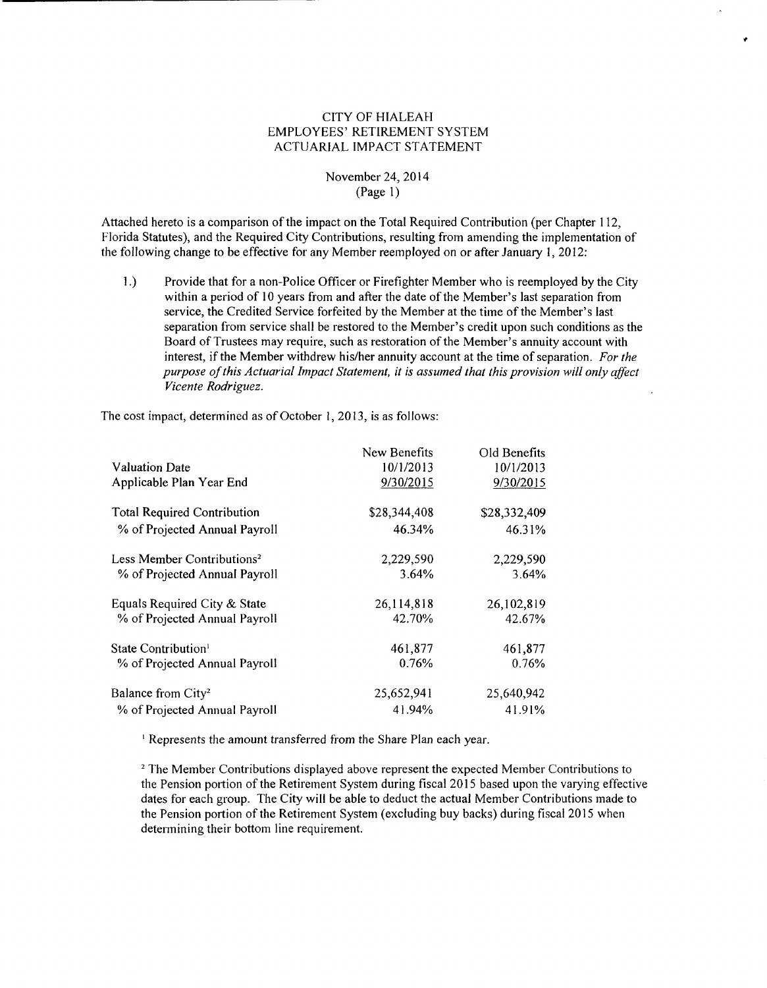## CITY OF HIALEAH EMPLOYEES' RETIREMENT SYSTEM ACTUARIAL IMPACT STATEMENT

### November 24, 2014 (Page 1)

Attached hereto is a comparison of the impact on the Total Required Contribution (per Chapter 112, Florida Statutes), and the Required City Contributions, resulting from amending the implementation of the following change to be effective for any Member reemployed on or after January I, 2012:

1.) Provide that for a non-Police Officer or Firefighter Member who is reemployed by the City within a period of 10 years from and after the date of the Member's last separation from service, the Credited Service forfeited by the Member at the time of the Member's last separation from service shall be restored to the Member's credit upon such conditions as the Board of Trustees may require, such as restoration of the Member's annuity account with interest, if the Member withdrew his/her annuity account at the time of separation. *For the purpose of this Actuarial Impact Statement, it is assumed that this provision will only affect Vicente Rodriguez.* 

The cost impact, determined as of October I, 2013, is as follows:

|                                        | New Benefits | Old Benefits |
|----------------------------------------|--------------|--------------|
| <b>Valuation Date</b>                  | 10/1/2013    | 10/1/2013    |
| Applicable Plan Year End               | 9/30/2015    | 9/30/2015    |
| <b>Total Required Contribution</b>     | \$28,344,408 | \$28,332,409 |
| % of Projected Annual Payroll          | 46.34%       | 46.31%       |
| Less Member Contributions <sup>2</sup> | 2,229,590    | 2,229,590    |
| % of Projected Annual Payroll          | 3.64%        | 3.64%        |
| Equals Required City & State           | 26,114,818   | 26,102,819   |
| % of Projected Annual Payroll          | 42.70%       | 42.67%       |
| State Contribution <sup>1</sup>        | 461,877      | 461,877      |
| % of Projected Annual Payroll          | 0.76%        | 0.76%        |
| Balance from City <sup>2</sup>         | 25,652,941   | 25,640,942   |
| % of Projected Annual Payroll          | 41.94%       | 41.91%       |

<sup>1</sup> Represents the amount transferred from the Share Plan each year.

2 The Member Contributions displayed above represent the expected Member Contributions to the Pension portion of the Retirement System during fiscal 2015 based upon the varying effective dates for each group. The City will be able to deduct the actual Member Contributions made to the Pension portion of the Retirement System (excluding buy backs) during fiscal 2015 when detennining their bottom line requirement.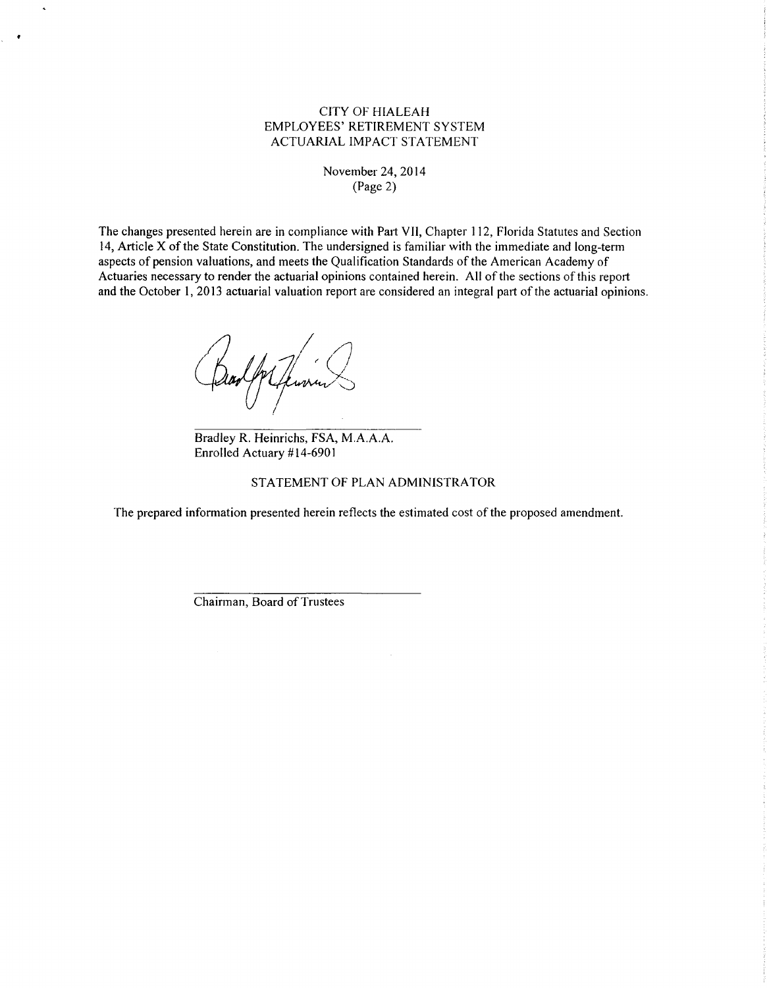# CITY OF HIALEAH EMPLOYEES' RETIREMENT SYSTEM ACTUARIAL IMPACT STATEMENT

#### November 24, 20 14 (Page 2)

The changes presented herein are in compliance with Part VII, Chapter 112, Florida Statutes and Section 14, Article X of the State Constitution. The undersigned is familiar with the immediate and long-tenn aspects of pension valuations, and meets the Qualification Standards of the American Academy of Actuaries necessary to render the actuarial opinions contained herein. All of the sections of this report and the October 1, 2013 actuarial valuation report are considered an integral patt of the actuarial opinions.

Spr Jewin

Bradley R. Heinrichs, FSA, M.A.A.A. Enrolled Actuary #14-6901

#### STATEMENT OF PLAN ADMINISTRATOR

The prepared information presented herein reflects the estimated cost of the proposed amendment.

Chairman, Board of Trustees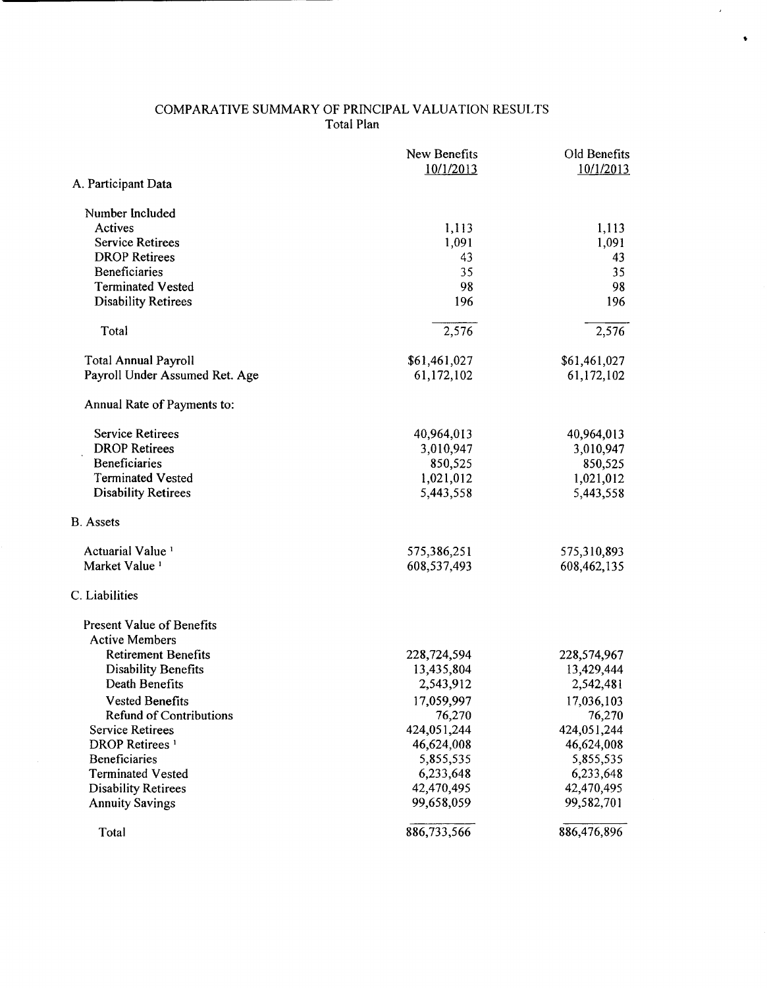#### COMPARATIVE SUMMARY OF PRINCIPAL VALUATION RESULTS Total Plan

 $\overline{\phantom{a}}$ 

 $\bullet$ 

|                                                     | New Benefits<br>10/1/2013 | Old Benefits<br>10/1/2013 |
|-----------------------------------------------------|---------------------------|---------------------------|
| A. Participant Data                                 |                           |                           |
| Number Included                                     |                           |                           |
| Actives                                             | 1,113                     | 1,113                     |
| <b>Service Retirees</b>                             | 1,091                     | 1,091                     |
| <b>DROP Retirees</b>                                | 43                        | 43                        |
| Beneficiaries                                       | 35                        | 35                        |
| <b>Terminated Vested</b>                            | 98                        | 98                        |
| <b>Disability Retirees</b>                          | 196                       | 196                       |
| Total                                               | 2,576                     | 2,576                     |
| <b>Total Annual Payroll</b>                         | \$61,461,027              | \$61,461,027              |
| Payroll Under Assumed Ret. Age                      | 61,172,102                | 61,172,102                |
| Annual Rate of Payments to:                         |                           |                           |
| <b>Service Retirees</b>                             | 40,964,013                | 40,964,013                |
| <b>DROP</b> Retirees                                | 3,010,947                 | 3,010,947                 |
| <b>Beneficiaries</b>                                | 850,525                   | 850,525                   |
| <b>Terminated Vested</b>                            | 1,021,012                 | 1,021,012                 |
| <b>Disability Retirees</b>                          | 5,443,558                 | 5,443,558                 |
| <b>B.</b> Assets                                    |                           |                           |
| Actuarial Value <sup>1</sup>                        | 575,386,251               | 575,310,893               |
| Market Value <sup>1</sup>                           | 608,537,493               | 608,462,135               |
| C. Liabilities                                      |                           |                           |
| <b>Present Value of Benefits</b>                    |                           |                           |
| <b>Active Members</b><br><b>Retirement Benefits</b> |                           |                           |
| <b>Disability Benefits</b>                          | 228,724,594<br>13,435,804 | 228,574,967<br>13,429,444 |
| Death Benefits                                      | 2,543,912                 | 2,542,481                 |
| <b>Vested Benefits</b>                              | 17,059,997                | 17,036,103                |
| <b>Refund of Contributions</b>                      | 76,270                    | 76,270                    |
| <b>Service Retirees</b>                             | 424,051,244               | 424,051,244               |
| DROP Retirees <sup>1</sup>                          | 46,624,008                | 46,624,008                |
| <b>Beneficiaries</b>                                | 5,855,535                 | 5,855,535                 |
| <b>Terminated Vested</b>                            | 6,233,648                 | 6,233,648                 |
| <b>Disability Retirees</b>                          | 42,470,495                | 42,470,495                |
| <b>Annuity Savings</b>                              | 99,658,059                | 99,582,701                |
| Total                                               | 886,733,566               | 886,476,896               |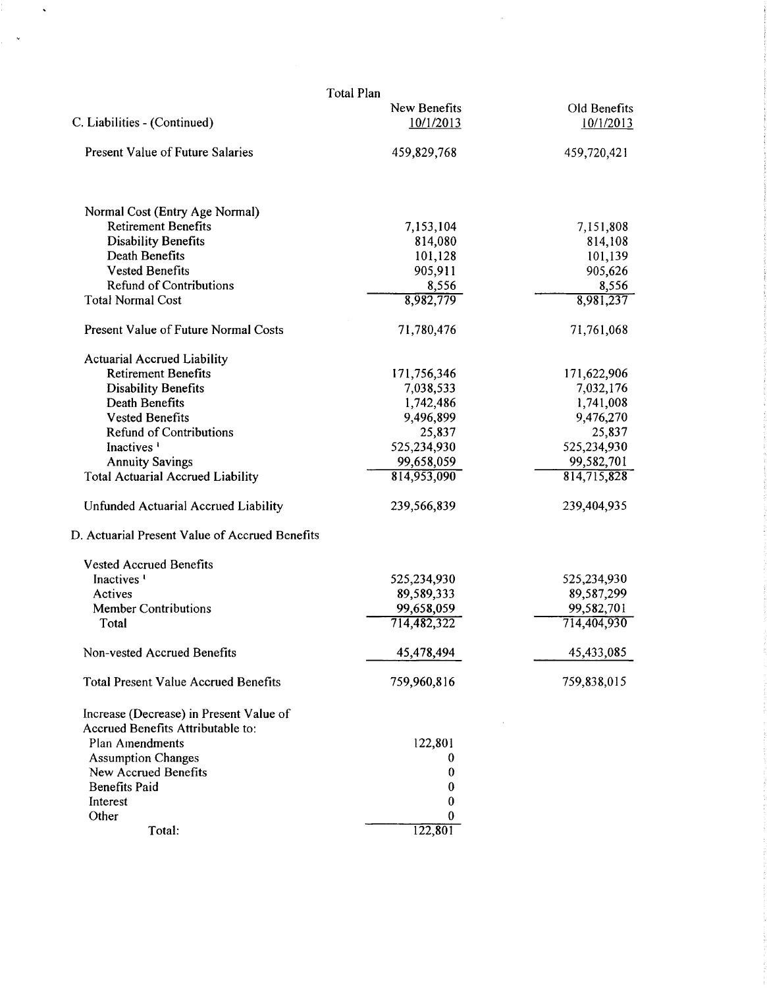| <b>Total Plan</b>                                 |              |              |  |  |  |  |  |
|---------------------------------------------------|--------------|--------------|--|--|--|--|--|
|                                                   | New Benefits | Old Benefits |  |  |  |  |  |
| C. Liabilities - (Continued)                      | 10/1/2013    | 10/1/2013    |  |  |  |  |  |
| <b>Present Value of Future Salaries</b>           | 459,829,768  | 459,720,421  |  |  |  |  |  |
| Normal Cost (Entry Age Normal)                    |              |              |  |  |  |  |  |
| <b>Retirement Benefits</b>                        | 7,153,104    | 7,151,808    |  |  |  |  |  |
| <b>Disability Benefits</b>                        | 814,080      | 814,108      |  |  |  |  |  |
| Death Benefits                                    | 101,128      | 101,139      |  |  |  |  |  |
| <b>Vested Benefits</b>                            | 905,911      | 905,626      |  |  |  |  |  |
| <b>Refund of Contributions</b>                    | 8,556        | 8,556        |  |  |  |  |  |
| <b>Total Normal Cost</b>                          | 8,982,779    | 8,981,237    |  |  |  |  |  |
| Present Value of Future Normal Costs              | 71,780,476   | 71,761,068   |  |  |  |  |  |
| <b>Actuarial Accrued Liability</b>                |              |              |  |  |  |  |  |
| <b>Retirement Benefits</b>                        | 171,756,346  | 171,622,906  |  |  |  |  |  |
| <b>Disability Benefits</b>                        | 7,038,533    | 7,032,176    |  |  |  |  |  |
| <b>Death Benefits</b>                             | 1,742,486    | 1,741,008    |  |  |  |  |  |
| <b>Vested Benefits</b>                            | 9,496,899    | 9,476,270    |  |  |  |  |  |
| <b>Refund of Contributions</b>                    | 25,837       | 25,837       |  |  |  |  |  |
| Inactives <sup>1</sup>                            | 525,234,930  | 525,234,930  |  |  |  |  |  |
| <b>Annuity Savings</b>                            | 99,658,059   | 99,582,701   |  |  |  |  |  |
| <b>Total Actuarial Accrued Liability</b>          | 814,953,090  | 814,715,828  |  |  |  |  |  |
| Unfunded Actuarial Accrued Liability              | 239,566,839  | 239,404,935  |  |  |  |  |  |
| D. Actuarial Present Value of Accrued Benefits    |              |              |  |  |  |  |  |
| <b>Vested Accrued Benefits</b>                    |              |              |  |  |  |  |  |
| Inactives <sup>1</sup>                            | 525,234,930  | 525,234,930  |  |  |  |  |  |
| Actives                                           | 89,589,333   | 89,587,299   |  |  |  |  |  |
| <b>Member Contributions</b>                       | 99,658,059   | 99,582,701   |  |  |  |  |  |
| Total                                             | 714,482,322  | 714,404,930  |  |  |  |  |  |
| Non-vested Accrued Benefits                       | 45,478,494   | 45,433,085   |  |  |  |  |  |
| <b>Total Present Value Accrued Benefits</b>       | 759,960,816  | 759,838,015  |  |  |  |  |  |
| Increase (Decrease) in Present Value of           |              |              |  |  |  |  |  |
| Accrued Benefits Attributable to:                 |              |              |  |  |  |  |  |
| Plan Amendments                                   | 122,801      |              |  |  |  |  |  |
| <b>Assumption Changes</b><br>New Accrued Benefits | 0<br>0       |              |  |  |  |  |  |
| <b>Benefits Paid</b>                              | 0            |              |  |  |  |  |  |
| Interest                                          | 0            |              |  |  |  |  |  |
| Other                                             |              |              |  |  |  |  |  |
| Total:                                            | 122,801      |              |  |  |  |  |  |
|                                                   |              |              |  |  |  |  |  |

 $\hat{\mathbf{v}}$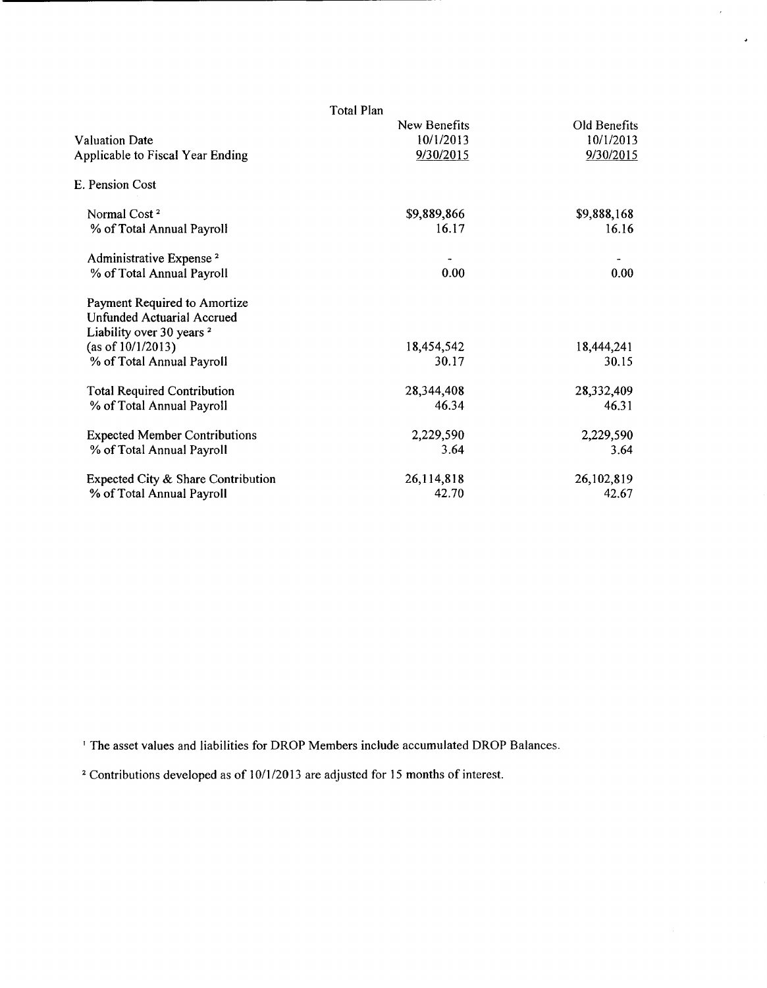|                                      | Total Plan   |              |  |
|--------------------------------------|--------------|--------------|--|
|                                      | New Benefits | Old Benefits |  |
| <b>Valuation Date</b>                | 10/1/2013    | 10/1/2013    |  |
| Applicable to Fiscal Year Ending     | 9/30/2015    | 9/30/2015    |  |
| E. Pension Cost                      |              |              |  |
| Normal Cost <sup>2</sup>             | \$9,889,866  | \$9,888,168  |  |
| % of Total Annual Payroll            | 16.17        | 16.16        |  |
| Administrative Expense <sup>2</sup>  |              |              |  |
| % of Total Annual Payroll            | 0.00         | 0.00         |  |
| Payment Required to Amortize         |              |              |  |
| <b>Unfunded Actuarial Accrued</b>    |              |              |  |
| Liability over 30 years <sup>2</sup> |              |              |  |
| (as of $10/1/2013$ )                 | 18,454,542   | 18,444,241   |  |
| % of Total Annual Payroll            | 30.17        | 30.15        |  |
| <b>Total Required Contribution</b>   | 28,344,408   | 28,332,409   |  |
| % of Total Annual Payroll            | 46.34        | 46.31        |  |
| <b>Expected Member Contributions</b> | 2,229,590    | 2,229,590    |  |
| % of Total Annual Payroll            | 3.64         | 3.64         |  |
| Expected City & Share Contribution   | 26,114,818   | 26,102,819   |  |
| % of Total Annual Payroll            | 42.70        | 42.67        |  |

 $\hat{\pmb{\cdot}}$ 

' The asset values and liabilities for DROP Members include accumulated DROP Balances.

<sup>2</sup> Contributions developed as of 10/1/2013 are adjusted for 15 months of interest.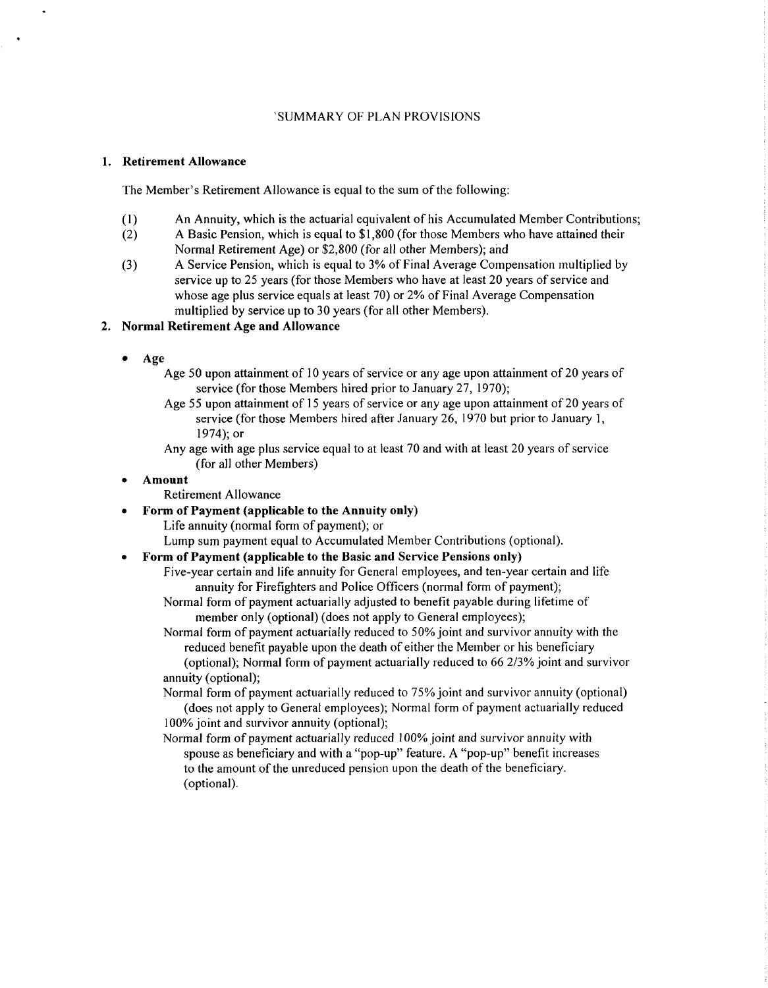#### 'SUMMARY OF PLAN PROVISIONS

#### 1. Retirement Allowance

The Member's Retirement Allowance is equal to the sum of the following:

- (1) An Annuity, which is the actuarial equivalent of his Accumulated Member Contributions;
- (2) A Basic Pension, which is equal to \$1,800 (for those Members who have attained their Normal Retirement Age) or \$2,800 (for all other Members); and
- (3) A Service Pension, which is equal to 3% of Final Average Compensation multiplied by service up to 25 years (for those Members who have at least 20 years of service and whose age plus service equals at least 70) or 2% of Final Average Compensation multiplied by service up to 30 years (for all other Members).

#### 2. Normal Retirement Age and Allowance

- Age
	- Age 50 upon attainment of 10 years of service or any age upon attainment of 20 years of service (for those Members hired prior to January 27, 1970);
	- Age 55 upon attainment of 15 years of service or any age upon attainment of 20 years of service (for those Members hired after January 26, 1970 but prior to January 1, 1974); or
	- Any age with age plus service equal to at least 70 and with at least 20 years of service (for all other Members)

#### • Amount

- Retirement Allowance
- Form of Payment (applicable to the Annuity only)

Life annuity (normal form of payment); or

Lump sum payment equal to Accumulated Member Contributions (optional).

## • Form of Payment (applicable to the Basic and Service Pensions only)

Five-year certain and life annuity for General employees, and ten-year certain and life annuity for Firefighters and Police Officers (normal form of payment);

Normal form of payment actuarially adjusted to benefit payable during lifetime of member only (optional) (does not apply to General employees);

Normal form of payment actuarially reduced to 50% joint and survivor annuity with the reduced benefit payable upon the death of either the Member or his beneficiary

(optional); Normal form of payment actuarially reduced to 66 2/3% joint and survivor annuity (optional);

Normal form of payment actuarially reduced to 75% joint and survivor annuity (optional) (does not apply to General employees); Normal form of payment actuarially reduced 100% joint and survivor annuity (optional);

Normal form of payment actuarially reduced I 00% joint and survivor annuity with spouse as beneficiary and with a "pop-up" feature. A "pop-up" benefit increases to the amount of the unreduced pension upon the death of the beneficiary. (optional).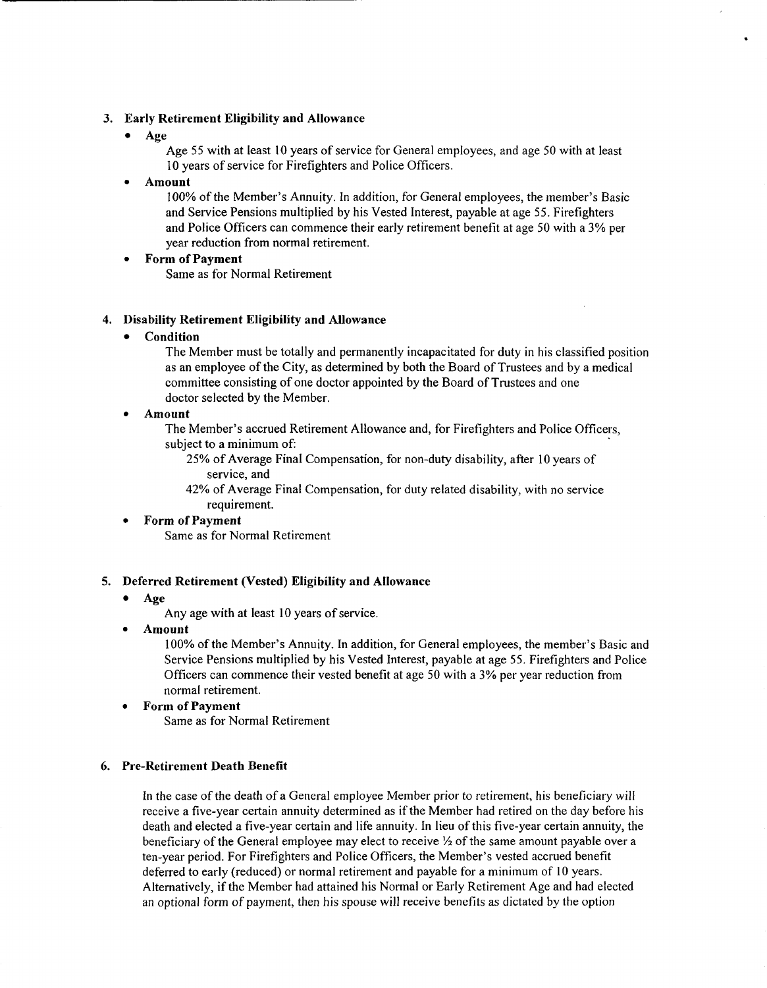#### 3. Early Retirement Eligibility and Allowance

• Age

Age 55 with at least 10 years of service for General employees, and age 50 with at least 10 years of service for Firefighters and Police Officers.

#### • Amount

100% of the Member's Annuity. In addition, for General employees, the member's Basic and Service Pensions multiplied by his Vested Interest, payable at age 55. Firefighters and Police Officers can commence their early retirement benefit at age 50 with a 3% per year reduction from normal retirement.

#### **Form of Payment**

Same as for Normal Retirement

#### 4. Disability Retirement Eligibility and Allowance

• Condition

The Member must be totally and permanently incapacitated for duty in his classified position as an employee of the City, as determined by both the Board of Trustees and by a medical committee consisting of one doctor appointed by the Board of Trustees and one doctor selected by the Member.

## • Amount

The Member's accrued Retirement Allowance and, for Firefighters and Police Officers, subject to a minimum of:

25% of Average Final Compensation, for non-duty disability, after 10 years of service, and

42% of Average Final Compensation, for duty related disability, with no service requirement.

# • Form of Payment

Same as for Normal Retirement

## 5. Deferred Retirement (Vested) Eligibility and Allowance

• Age

Any age with at least 10 years of service.

• Amount

100% ofthe Member's Annuity. In addition, for General employees, the member's Basic and Service Pensions multiplied by his Vested Interest, payable at age 55. Firefighters and Police Officers can commence their vested benefit at age 50 with a 3% per year reduction from normal retirement.

# • Form of Payment

Same as for Normal Retirement

## 6. Pre-Retirement Death Benefit

In the case of the death of a General employee Member prior to retirement, his beneficiary will receive a five-year certain annuity determined as if the Member had retired on the day before his death and elected a five-year certain and life annuity. In lieu of this five-year certain annuity, the beneficiary of the General employee may elect to receive  $\frac{1}{2}$  of the same amount payable over a ten-year period. For Firefighters and Police Officers, the Member's vested accrued benefit deferred to early (reduced) or normal retirement and payable for a minimum of 10 years. Alternatively, if the Member had attained his Normal or Early Retirement Age and had elected an optional form of payment, then his spouse will receive benefits as dictated by the option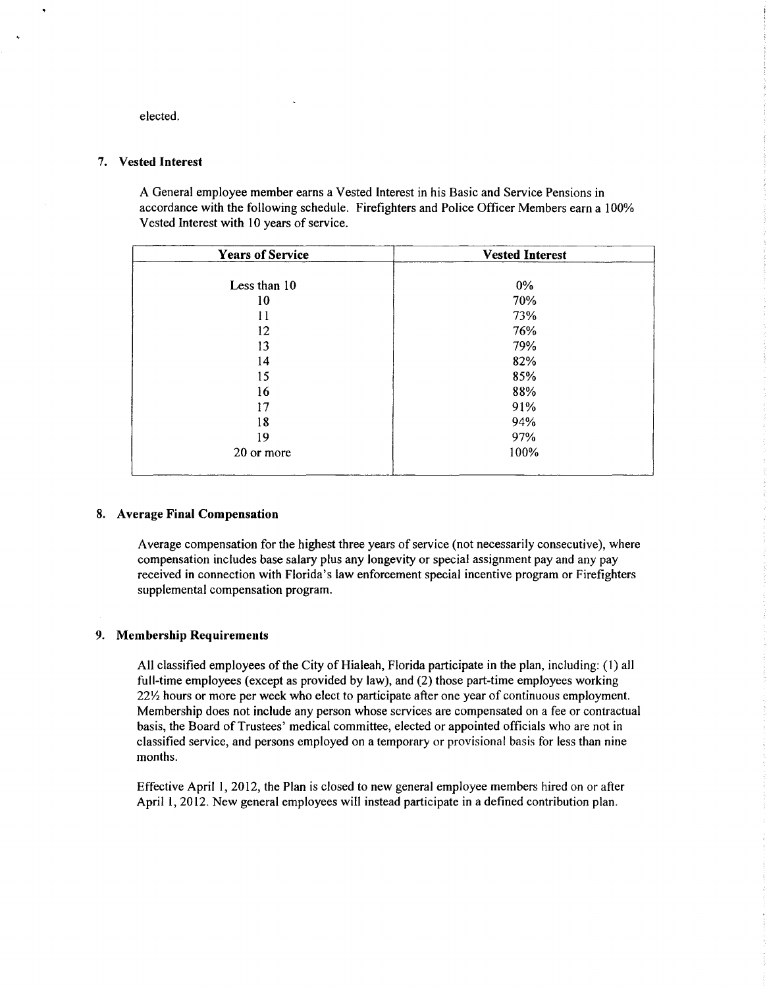elected.

#### 7. Vested Interest

A General employee member earns a Vested Interest in his Basic and Service Pensions in accordance with the following schedule. Firefighters and Police Officer Members earn a 100% Vested Interest with 10 years of service.

| <b>Years of Service</b> | <b>Vested Interest</b> |
|-------------------------|------------------------|
|                         |                        |
| Less than 10            | $0\%$                  |
| 10                      | 70%                    |
| 11                      | 73%                    |
| 12                      | 76%                    |
| 13                      | 79%                    |
| 14                      | 82%                    |
| 15                      | 85%                    |
| 16                      | 88%                    |
| 17                      | 91%                    |
| 18                      | 94%                    |
| 19                      | 97%                    |
| 20 or more              | 100%                   |
|                         |                        |

#### 8. Average Final Compensation

Average compensation for the highest three years of service (not necessarily consecutive), where compensation includes base salary plus any longevity or special assignment pay and any pay received in connection with Florida's law enforcement special incentive program or Firefighters supplemental compensation program.

#### 9. Membership Requirements

All classified employees of the City of Hialeah, Florida participate in the plan, including: (I) all full-time employees (except as provided by law), and (2) those part-time employees working 22Y2 hours or more per week who elect to participate after one year of continuous employment. Membership does not include any person whose services are compensated on a fee or contractual basis, the Board of Trustees' medical committee, elected or appointed officials who are not in classified service, and persons employed on a temporary or provisional basis for less than nine months.

Effective April I, 2012, the Plan is closed to new general employee members hired on or after April 1, 2012. New general employees will instead participate in a defined contribution plan.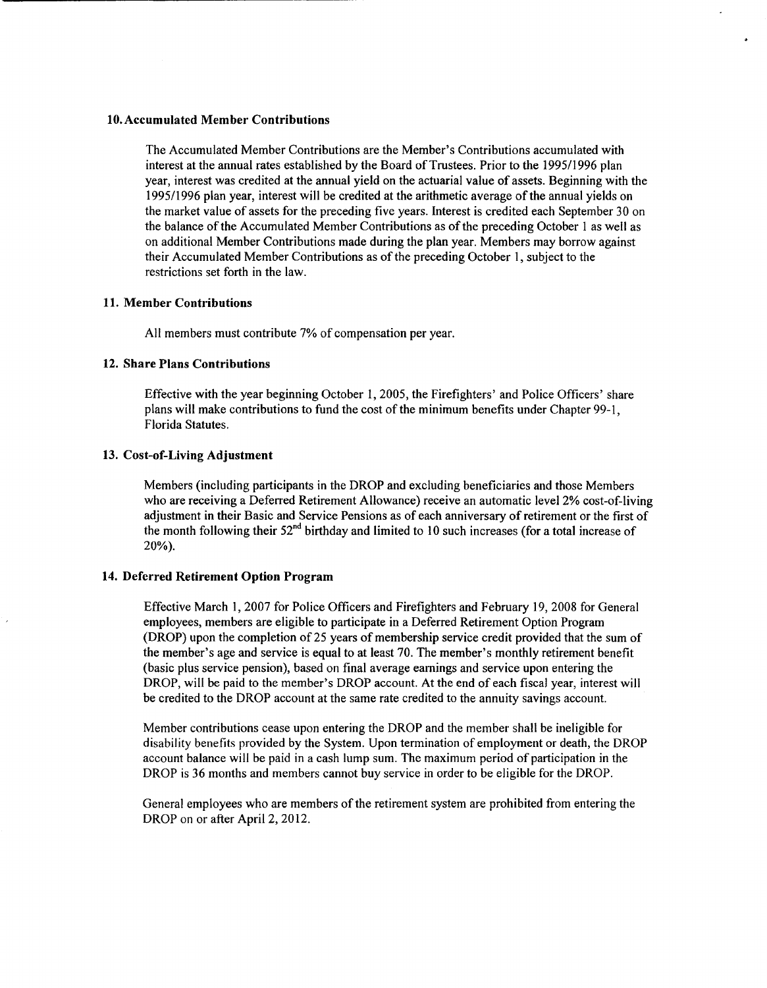#### 10. Accumulated Member Contributions

The Accumulated Member Contributions are the Member's Contributions accumulated with interest at the annual rates established by the Board of Trustees. Prior to the 1995/1996 plan year, interest was credited at the annual yield on the actuarial value of assets. Beginning with the 1995/1996 plan year, interest will be credited at the arithmetic average of the annual yields on the market value of assets for the preceding five years. Interest is credited each September 30 on the balance of the Accumulated Member Contributions as of the preceding October 1 as well as on additional Member Contributions made during the plan year. Members may borrow against their Accumulated Member Contributions as of the preceding October 1, subject to the restrictions set forth in the law.

#### 11. Member Contributions

All members must contribute 7% of compensation per year.

# 12. Share Plans Contributions

Effective with the year beginning October 1, 2005, the Firefighters' and Police Officers' share plans will make contributions to fund the cost of the minimum benefits under Chapter 99-1, Florida Statutes.

### 13. Cost-of-Living Adjustment

Members (including participants in the DROP and excluding beneficiaries and those Members who are receiving a Deferred Retirement Allowance) receive an automatic level2% cost-of-living adjustment in their Basic and Service Pensions as of each anniversary of retirement or the first of the month following their  $52<sup>nd</sup>$  birthday and limited to 10 such increases (for a total increase of 20%).

#### 14. Deferred Retirement Option Program

Effective March I, 2007 for Police Officers and Firefighters and February 19, 2008 for General employees, members are eligible to participate in a Deferred Retirement Option Program (DROP) upon the completion of 25 years of membership service credit provided that the sum of the member's age and service is equal to at least 70. The member's monthly retirement benefit (basic plus service pension), based on final average earnings and service upon entering the DROP, will be paid to the member's DROP account. At the end of each fiscal year, interest will be credited to the DROP account at the same rate credited to the annuity savings account.

Member contributions cease upon entering the DROP and the member shall be ineligible for disability benefits provided by the System. Upon termination of employment or death, the DROP account balance will be paid in a cash lump sum. The maximum period of participation in the DROP is 36 months and members cannot buy service in order to be eligible for the DROP.

General employees who are members of the retirement system are prohibited from entering the DROP on or after April 2, 2012.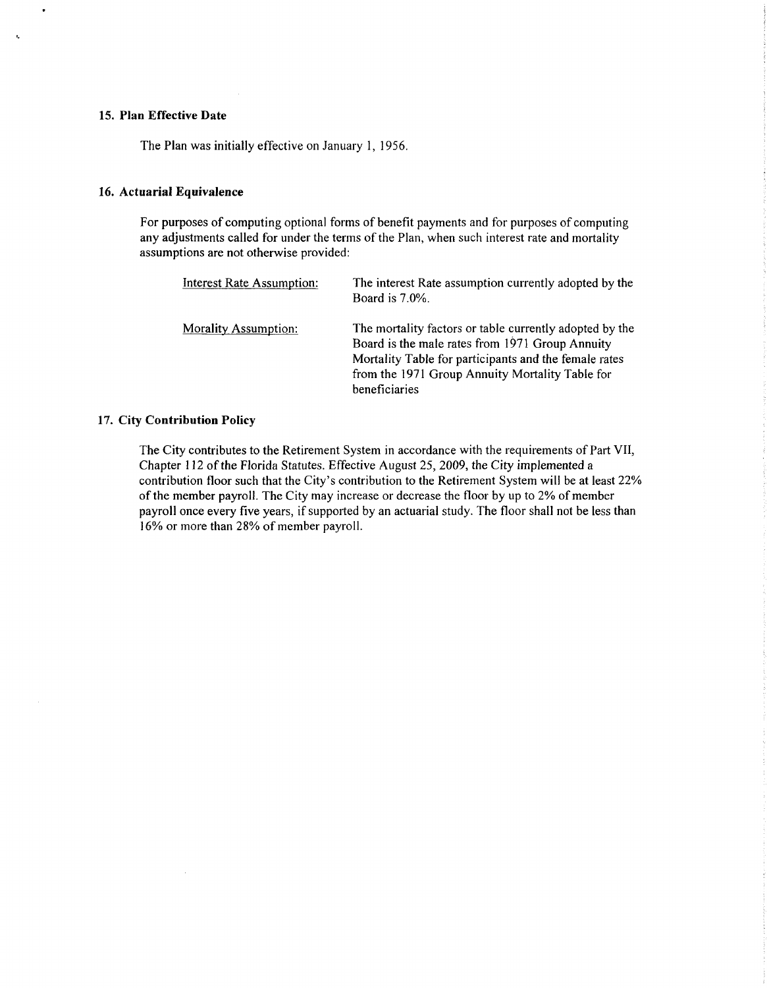#### 15. Plan Effective Date

t,

The Plan was initially effective on January I, 1956.

#### 16. Actuarial Equivalence

For purposes of computing optional forms of benefit payments and for purposes of computing any adjustments called for under the terms of the Plan, when such interest rate and mortality assumptions are not otherwise provided:

| <b>Interest Rate Assumption:</b> | The interest Rate assumption currently adopted by the<br>Board is $7.0\%$ .                                                                                                                                                             |
|----------------------------------|-----------------------------------------------------------------------------------------------------------------------------------------------------------------------------------------------------------------------------------------|
| <b>Morality Assumption:</b>      | The mortality factors or table currently adopted by the<br>Board is the male rates from 1971 Group Annuity<br>Mortality Table for participants and the female rates<br>from the 1971 Group Annuity Mortality Table for<br>beneficiaries |

#### 17. City Contribution Policy

The City contributes to the Retirement System in accordance with the requirements of Part VII, Chapter 112 of the Florida Statutes. Effective August 25, 2009, the City implemented a contribution floor such that the City's contribution to the Retirement System will be at least 22% of the member payroll. The City may increase or decrease the floor by up to 2% of member payroll once every five years, if supported by an actuarial study. The floor shall not be less than 16% or more than 28% of member payroll.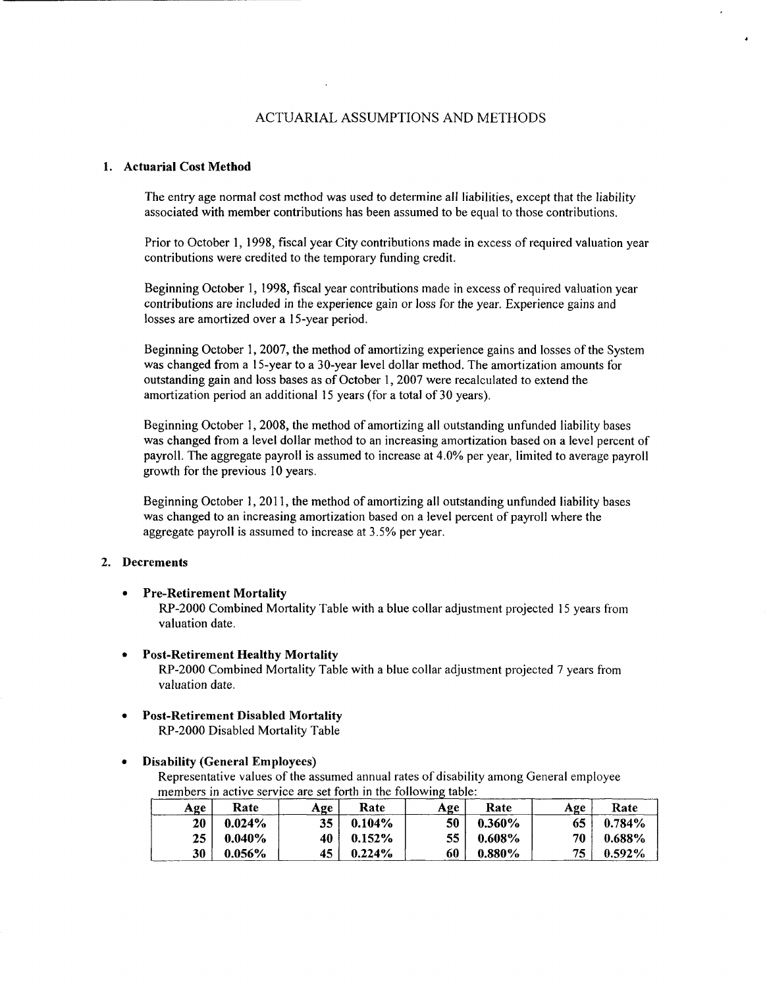# ACTUARIAL ASSUMPTIONS AND METHODS

#### 1. Actuarial Cost Method

The entry age normal cost method was used to determine all liabilities, except that the liability associated with member contributions has been assumed to be equal to those contributions.

Prior to October I, I998, fiscal year City contributions made in excess of required valuation year contributions were credited to the temporary funding credit.

Beginning October I, I998, fiscal year contributions made in excess of required valuation year contributions are included in the experience gain or loss for the year. Experience gains and losses are amortized over a IS-year period.

Beginning October 1, 2007, the method of amortizing experience gains and losses of the System was changed from a IS-year to a 30-year level dollar method. The amortization amounts for outstanding gain and loss bases as of October I, 2007 were recalculated to extend the amortization period an additional IS years (for a total of 30 years).

Beginning October I, 2008, the method of amortizing all outstanding unfunded liability bases was changed from a level dollar method to an increasing amortization based on a level percent of payroll. The aggregate payroll is assumed to increase at 4.0% per year, limited to average payroll growth for the previous 10 years.

Beginning October 1, 2011, the method of amortizing all outstanding unfunded liability bases was changed to an increasing amortization based on a level percent of payroll where the aggregate payroll is assumed to increase at 3.5% per year.

## 2. Decrements

• Pre-Retirement Mortality

RP-2000 Combined Mortality Table with a blue collar adjustment projected IS years from valuation date.

- Post-Retirement Healthy Mortality RP-2000 Combined Mottality Table with a blue collar adjustment projected 7 years from valuation date.
- Post-Retirement Disabled Mortality RP-2000 Disabled Mortality Table

• Disability (General Employees)

Representative values of the assumed annual rates of disability among General employee members in active service are set forth in the following table:

| Age | Rate      | Age | Rate      | Age | Rate      | Age | Rate      |
|-----|-----------|-----|-----------|-----|-----------|-----|-----------|
| 20  | $0.024\%$ | 35  | 0.104%    | 50  | $0.360\%$ | 65  | $0.784\%$ |
| 25  | $0.040\%$ | 40  | $0.152\%$ | 55  | $0.608\%$ | 70  | $0.688\%$ |
| 30  | $0.056\%$ | 45  | $0.224\%$ | 60  | $0.880\%$ | 75  | $0.592\%$ |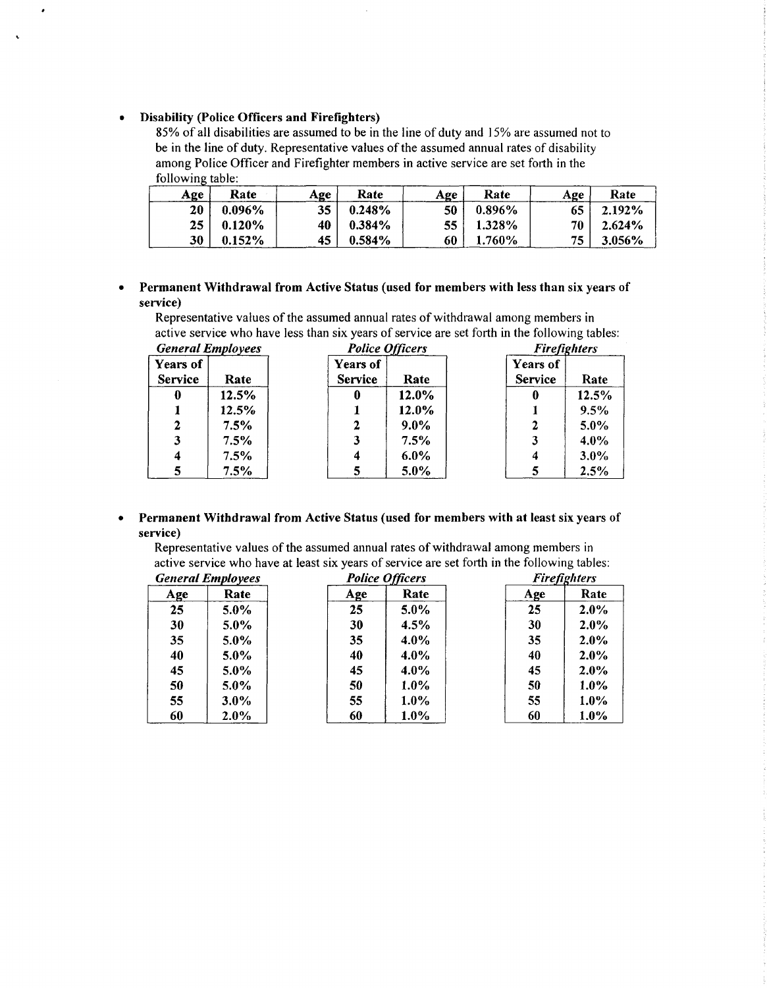#### • Disability (Police Officers and Firefighters)

 $\bullet$ 

 $\ddot{\phantom{a}}$ 

85% of all disabilities are assumed to be in the line of duty and 15% are assumed not to be in the line of duty. Representative values of the assumed annual rates of disability among Police Officer and Firefighter members in active service are set fotth in the following table:

| Age | Rate      | Age | Rate      | Age | Rate      | Age  | Rate      |
|-----|-----------|-----|-----------|-----|-----------|------|-----------|
| 20  | 0.096%    | 35  | 0.248%    | 50  | $0.896\%$ | 65   | $2.192\%$ |
| 25  | 0.120%    | 40  | 0.384%    | 55. | 1.328%    | 70 I | 2.624%    |
| 30  | $0.152\%$ | 45  | $0.584\%$ | 60  | 1.760%    | 75   | 3.056%    |

# • Permanent Withdrawal from Active Status (used for members with less than six years of service)

Representative values of the assumed annual rates of withdrawal among members in active service who have less than six years of service are set forth in the following tables:

| <b>General Employees</b>          |       |                            | <b>Police Officers</b> |                            | <b>Firefighters</b> |  |  |
|-----------------------------------|-------|----------------------------|------------------------|----------------------------|---------------------|--|--|
| <b>Years of</b><br><b>Service</b> | Rate  | Years of<br><b>Service</b> | Rate                   | Years of<br><b>Service</b> | Rate                |  |  |
| $\bf{0}$                          | 12.5% | 0                          | 12.0%                  | 0                          | 12.5%               |  |  |
|                                   | 12.5% |                            | 12.0%                  |                            | 9.5%                |  |  |
| 2                                 | 7.5%  | 2                          | $9.0\%$                | 2                          | $5.0\%$             |  |  |
| 3                                 | 7.5%  | 3                          | $7.5\%$                | 3                          | $4.0\%$             |  |  |
| $\boldsymbol{4}$                  | 7.5%  | 4                          | $6.0\%$                | 4                          | $3.0\%$             |  |  |
| 5                                 | 7.5%  | 5                          | 5.0%                   |                            | 2.5%                |  |  |

#### • Permanent Withdrawal from Active Status (used for members with at least six years of service)

Representative values of the assumed annual rates of withdrawal among members in active service who have at least six years of service are set forth in the following tables:

| <b>General Employees</b> |         |     | <b>Police Officers</b> | <b>Firefighters</b> |         |  |
|--------------------------|---------|-----|------------------------|---------------------|---------|--|
| Age                      | Rate    | Age | Rate                   | Age                 | Rate    |  |
| 25                       | $5.0\%$ | 25  | $5.0\%$                | 25                  | 2.0%    |  |
| 30                       | $5.0\%$ | 30  | 4.5%                   | 30                  | $2.0\%$ |  |
| 35                       | $5.0\%$ | 35  | 4.0%                   | 35                  | $2.0\%$ |  |
| 40                       | $5.0\%$ | 40  | $4.0\%$                | 40                  | 2.0%    |  |
| 45                       | $5.0\%$ | 45  | 4.0%                   | 45                  | $2.0\%$ |  |
| 50                       | 5.0%    | 50  | $1.0\%$                | 50                  | $1.0\%$ |  |
| 55                       | $3.0\%$ | 55  | $1.0\%$                | 55                  | $1.0\%$ |  |
| 60                       | $2.0\%$ | 60  | $1.0\%$                | 60                  | $1.0\%$ |  |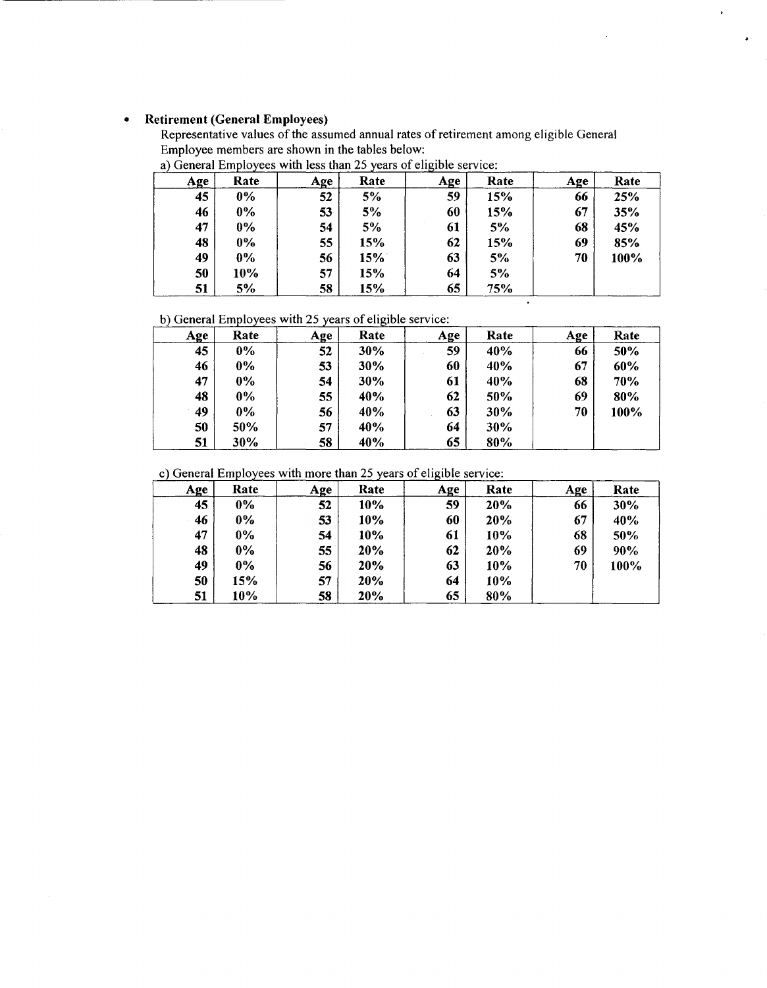# • Retirement (General Employees)

÷,

Representative values of the assumed annual rates of retirement among eligible General Employee members are shown in the tables below:

| Age | Rate  | <b>Age</b> | Rate | Age | Rate | <b>Age</b> | Rate |
|-----|-------|------------|------|-----|------|------------|------|
| 45  | $0\%$ | 52         | 5%   | 59  | 15%  | 66         | 25%  |
| 46  | $0\%$ | 53         | 5%   | 60  | 15%  | 67         | 35%  |
| 47  | $0\%$ | 54         | 5%   | 61  | 5%   | 68         | 45%  |
| 48  | $0\%$ | 55         | 15%  | 62  | 15%  | 69         | 85%  |
| 49  | $0\%$ | 56         | 15%  | 63  | 5%   | 70         | 100% |
| 50  | 10%   | 57         | 15%  | 64  | 5%   |            |      |
| 51  | 5%    | 58         | 15%  | 65  | 75%  |            |      |

—<br>•

 $\cdot$ 

a) General Employees with less than 25 years of eligible service:

b) General Employees with 25 years of eligible service:

| .<br><u>Age</u> | Rate  | Age | Rate | Age | Rate | Age | Rate |
|-----------------|-------|-----|------|-----|------|-----|------|
| 45              | $0\%$ | 52  | 30%  | 59  | 40%  | 66  | 50%  |
| 46              | $0\%$ | 53  | 30%  | 60  | 40%  | 67  | 60%  |
| 47              | $0\%$ | 54  | 30%  | 61  | 40%  | 68  | 70%  |
| 48              | $0\%$ | 55  | 40%  | 62  | 50%  | 69  | 80%  |
| 49              | $0\%$ | 56  | 40%  | 63  | 30%  | 70  | 100% |
| 50              | 50%   | 57  | 40%  | 64  | 30%  |     |      |
| 51              | 30%   | 58  | 40%  | 65  | 80%  |     |      |

c) General Employees with more than 25 years of eligible service:

| <b>Age</b> | Rate  | Age | Rate | Age | Rate | Age | Rate |
|------------|-------|-----|------|-----|------|-----|------|
| 45         | $0\%$ | 52  | 10%  | 59  | 20%  | 66  | 30%  |
| 46         | 0%    | 53  | 10%  | 60  | 20%  | 67  | 40%  |
| 47         | $0\%$ | 54  | 10%  | 61  | 10%  | 68  | 50%  |
| 48         | $0\%$ | 55  | 20%  | 62  | 20%  | 69  | 90%  |
| 49         | $0\%$ | 56  | 20%  | 63  | 10%  | 70  | 100% |
| 50         | 15%   | 57  | 20%  | 64  | 10%  |     |      |
| 51         | 10%   | 58  | 20%  | 65  | 80%  |     |      |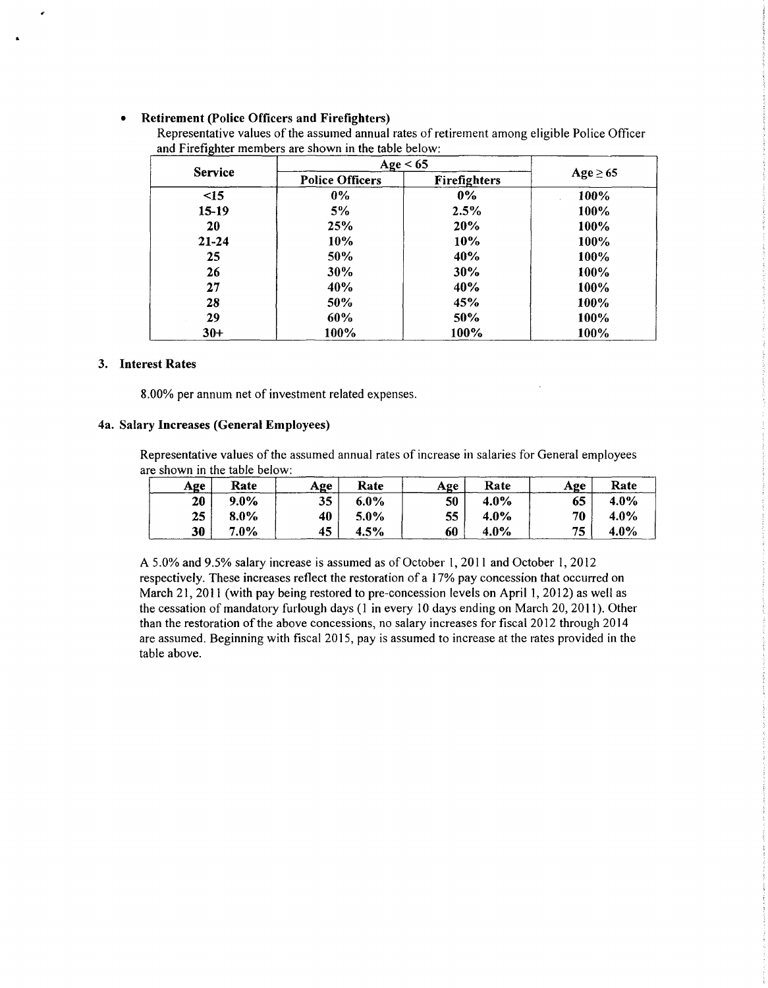# • Retirement (Police Officers and Firefighters)

Representative values of the assumed annual rates of retirement among eligible Police Officer and Firefighter members are shown in the table below:

|                | Age $< 65$             |                     |               |  |
|----------------|------------------------|---------------------|---------------|--|
| <b>Service</b> | <b>Police Officers</b> | <b>Firefighters</b> | $Age \geq 65$ |  |
| $\leq$ 15      | $0\%$                  | $0\%$               | 100%          |  |
| 15-19          | 5%                     | 2.5%                | 100%          |  |
| 20             | 25%                    | 20%                 | 100%          |  |
| $21 - 24$      | 10%                    | 10%                 | 100%          |  |
| 25             | 50%                    | 40%                 | 100%          |  |
| 26             | 30%                    | 30%                 | 100%          |  |
| 27             | 40%                    | 40%                 | 100%          |  |
| 28             | <b>50%</b>             | 45%                 | 100%          |  |
| 29             | 60%                    | 50%                 | 100%          |  |
| $30+$          | 100%                   | 100%                | 100%          |  |

#### 3. Interest Rates

8.00% per annum net of investment related expenses.

#### 4a. Salary Increases (General Employees)

Representative values of the assumed annual rates of increase in salaries for General employees are shown in the table below:

| Age | Rate    | Age | Rate    | Age | Rate    | Age | Rate    |
|-----|---------|-----|---------|-----|---------|-----|---------|
| 20  | $9.0\%$ | 35  | $6.0\%$ | 50  | 4.0%    | 65  | $4.0\%$ |
| 25  | 8.0%    | 40  | $5.0\%$ | 55  | 4.0%    | 70  | $4.0\%$ |
| 30  | 7.0%    | 45  | 4.5%    | 60  | $4.0\%$ | 75  | 4.0%    |

A 5.0% and 9.5% salary increase is assumed as of October 1, 2011 and October 1, 2012 respectively. These increases reflect the restoration of a I 7% pay concession that occurred on March 21, 2011 (with pay being restored to pre-concession levels on April 1, 2012) as well as the cessation of mandatory furlough days (I in every 10 days ending on March 20, 2011 ). Other than the restoration of the above concessions, no salary increases for fiscal 2012 through 2014 are assumed. Beginning with fiscal 2015, pay is assumed to increase at the rates provided in the table above.